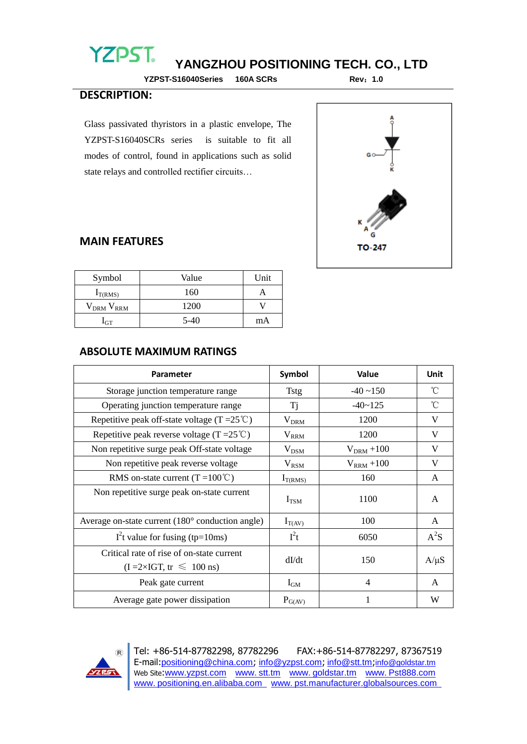# **YZPST**

# **YANGZHOU POSITIONING TECH. CO., LTD**

**YZPST-S16040Series 160A SCRs Rev**:**1.0**

#### **DESCRIPTION:**

Glass passivated thyristors in a plastic envelope, The YZPST-S16040SCRs series is suitable to fit all modes of control, found in applications such as solid state relays and controlled rectifier circuits…



#### **MAIN FEATURES**

| Symbol              | Value  | Unit |
|---------------------|--------|------|
| $I_{T(RMS)}$        | 160    |      |
| $V_{DRM}$ $V_{RRM}$ | 1200   |      |
| <b>GT</b>           | $5-40$ | mA   |

#### **ABSOLUTE MAXIMUM RATINGS**

| <b>Parameter</b>                                                                          | Symbol        | <b>Value</b>    | <b>Unit</b>  |
|-------------------------------------------------------------------------------------------|---------------|-----------------|--------------|
| Storage junction temperature range                                                        | <b>Tstg</b>   | $-40 \sim 150$  | °C           |
| Operating junction temperature range                                                      | Tj            | $-40 - 125$     | °C           |
| Repetitive peak off-state voltage (T = $25^{\circ}$ C)                                    | $V_{DRM}$     | 1200            | V            |
| Repetitive peak reverse voltage (T = $25^{\circ}$ C)                                      | $V_{RRM}$     | 1200            | V            |
| Non repetitive surge peak Off-state voltage                                               | $V_{DSM}$     | $V_{DRM} + 100$ | V            |
| Non repetitive peak reverse voltage                                                       | $V_{\rm RSM}$ | $V_{RRM}$ +100  | V            |
| RMS on-state current $(T = 100^{\circ}C)$                                                 | $I_{T(RMS)}$  | 160             | A            |
| Non repetitive surge peak on-state current                                                | $I_{TSM}$     | 1100            | A            |
| Average on-state current (180 ° conduction angle)                                         | $I_{T(AV)}$   | 100             | $\mathsf{A}$ |
| I <sup>2</sup> t value for fusing (tp=10ms)                                               | $I^2t$        | 6050            | $A^2S$       |
| Critical rate of rise of on-state current<br>$(I = 2 \times IGT, tr \leq 100 \text{ ns})$ | dI/dt         | 150             | $A/\mu S$    |
| Peak gate current                                                                         | $I_{GM}$      | 4               | A            |
| Average gate power dissipation                                                            | $P_{G(AV)}$   | 1               | W            |



Tel: +86-514-87782298, 87782296 FAX:+86-514-87782297, 87367519 E-mail:positioning@china.com; info@yzpst.com; info@stt.tm;info@goldstar.tm Web Site:www.yzpst.com www. stt.tm www. goldstar.tm www. Pst888.com www. positioning.en.alibaba.com www. pst.manufacturer.globalsources.com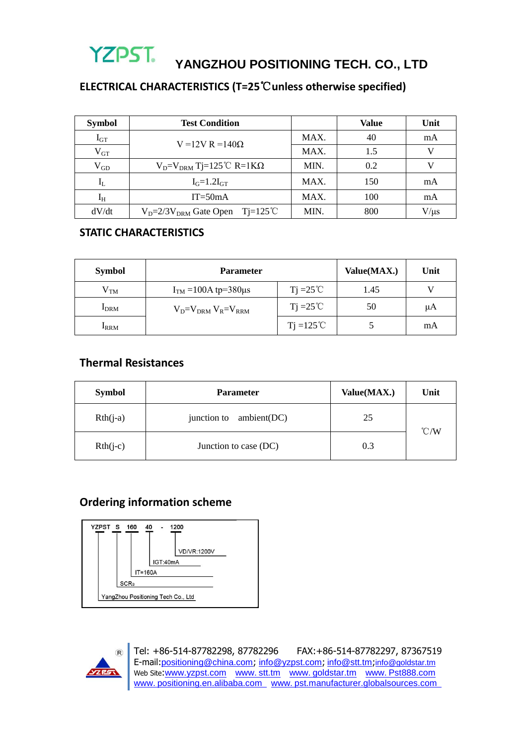

**YANGZHOU POSITIONING TECH. CO., LTD**

## **ELECTRICAL CHARACTERISTICS (T=25**℃**unless otherwise specified)**

| <b>Symbol</b>           | <b>Test Condition</b>                              |      | <b>Value</b> | Unit      |
|-------------------------|----------------------------------------------------|------|--------------|-----------|
| $I_{GT}$                | V = 12V R = 140 $\Omega$                           | MAX. | 40           | mA        |
| $V_{GT}$                |                                                    | MAX. | 1.5          |           |
| $V_{GD}$                | $V_D = V_{DRM}$ Tj=125 °C R=1K $\Omega$            | MIN. | 0.2          |           |
| $\mathbf{l}_\mathrm{L}$ | $I_G=1.2I_{GT}$                                    | MAX. | 150          | mA        |
| $I_H$                   | $IT = 50mA$                                        | MAX. | 100          | mA        |
| dV/dt                   | $V_D = 2/3V_{DRM}$ Gate Open Tj=125 <sup>°</sup> C | MIN. | 800          | $V/\mu s$ |

#### **STATIC CHARACTERISTICS**

| <b>Symbol</b>    | <b>Parameter</b>              |                     | Value(MAX.) | Unit |
|------------------|-------------------------------|---------------------|-------------|------|
| $\rm V_{TM}$     | $ITM = 100A$ tp=380µs         | $Ti = 25^{\circ}C$  | 1.45        |      |
| I <sub>DRM</sub> | $V_D = V_{DRM} V_R = V_{RRM}$ | $Ti = 25^{\circ}C$  | 50          | μA   |
| <b>IRRM</b>      |                               | $Ti = 125^{\circ}C$ |             | mA   |

#### **Thermal Resistances**

| <b>Symbol</b> | <b>Parameter</b>           | Value(MAX.) | Unit          |
|---------------|----------------------------|-------------|---------------|
| $Rth(i-a)$    | ambient(DC)<br>junction to | 25          | $\degree$ C/W |
| $Rth(j-c)$    | Junction to case (DC)      | 0.3         |               |

## **Ordering information scheme**





Tel: +86-514-87782298, 87782296 FAX:+86-514-87782297, 87367519 E-mail:positioning@china.com; info@yzpst.com; info@stt.tm;info@goldstar.tm Web Site:www.yzpst.com www.stt.tm www.goldstar.tm www.Pst888.com www. positioning.en.alibaba.com www. pst.manufacturer.globalsources.com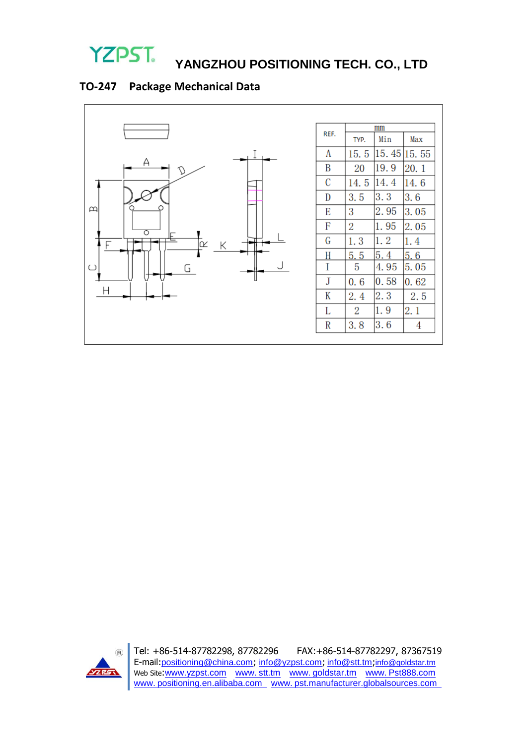

# **YANGZHOU POSITIONING TECH. CO., LTD**

# **TO-247 Package Mechanical Data**





Tel: +86-514-87782298, 87782296 FAX:+86-514-87782297, 87367519 E-mail:positioning@china.com; info@yzpst.com; info@stt.tm;info@goldstar.tm Web Site:www.yzpst.com www.stt.tm www.goldstar.tm www.Pst888.com www. positioning.en.alibaba.com www. pst.manufacturer.globalsources.com